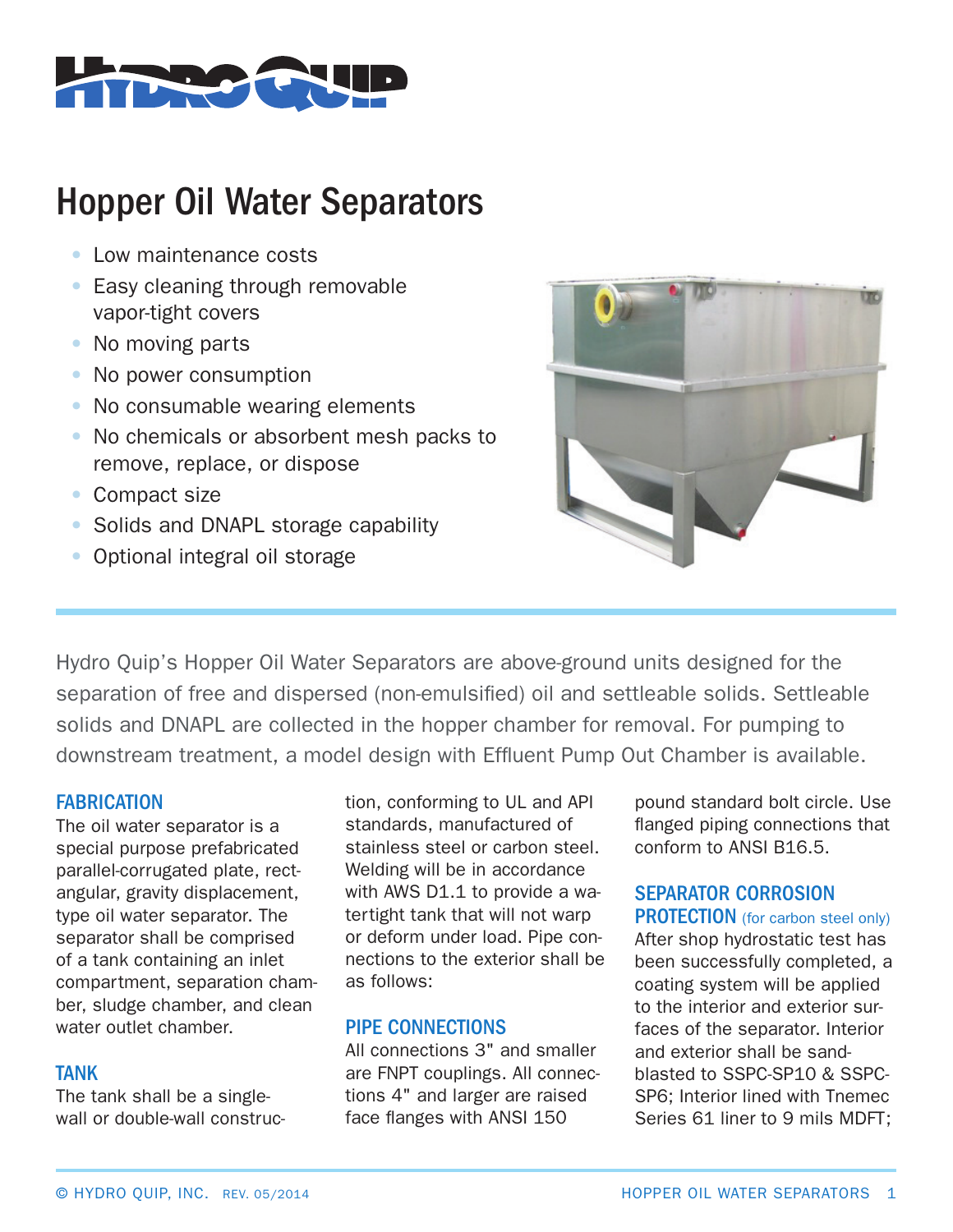

# Hopper Oil Water Separators

- Low maintenance costs
- Easy cleaning through removable vapor-tight covers
- No moving parts
- No power consumption
- No consumable wearing elements
- No chemicals or absorbent mesh packs to remove, replace, or dispose
- Compact size
- Solids and DNAPL storage capability
- Optional integral oil storage



Hydro Quip's Hopper Oil Water Separators are above-ground units designed for the separation of free and dispersed (non-emulsified) oil and settleable solids. Settleable solids and DNAPL are collected in the hopper chamber for removal. For pumping to downstream treatment, a model design with Effluent Pump Out Chamber is available.

### **FABRICATION**

The oil water separator is a special purpose prefabricated parallel-corrugated plate, rectangular, gravity displacement, type oil water separator. The separator shall be comprised of a tank containing an inlet compartment, separation chamber, sludge chamber, and clean water outlet chamber.

### TANK

The tank shall be a singlewall or double-wall construc-

tion, conforming to UL and API standards, manufactured of stainless steel or carbon steel. Welding will be in accordance with AWS D1.1 to provide a watertight tank that will not warp or deform under load. Pipe connections to the exterior shall be as follows:

## PIPE CONNECTIONS

All connections 3" and smaller are FNPT couplings. All connections 4" and larger are raised face flanges with ANSI 150

pound standard bolt circle. Use flanged piping connections that conform to ANSI B16.5.

## SEPARATOR CORROSION

PROTECTION (for carbon steel only) After shop hydrostatic test has been successfully completed, a coating system will be applied to the interior and exterior surfaces of the separator. Interior and exterior shall be sandblasted to SSPC-SP10 & SSPC-SP6; Interior lined with Tnemec Series 61 liner to 9 mils MDFT;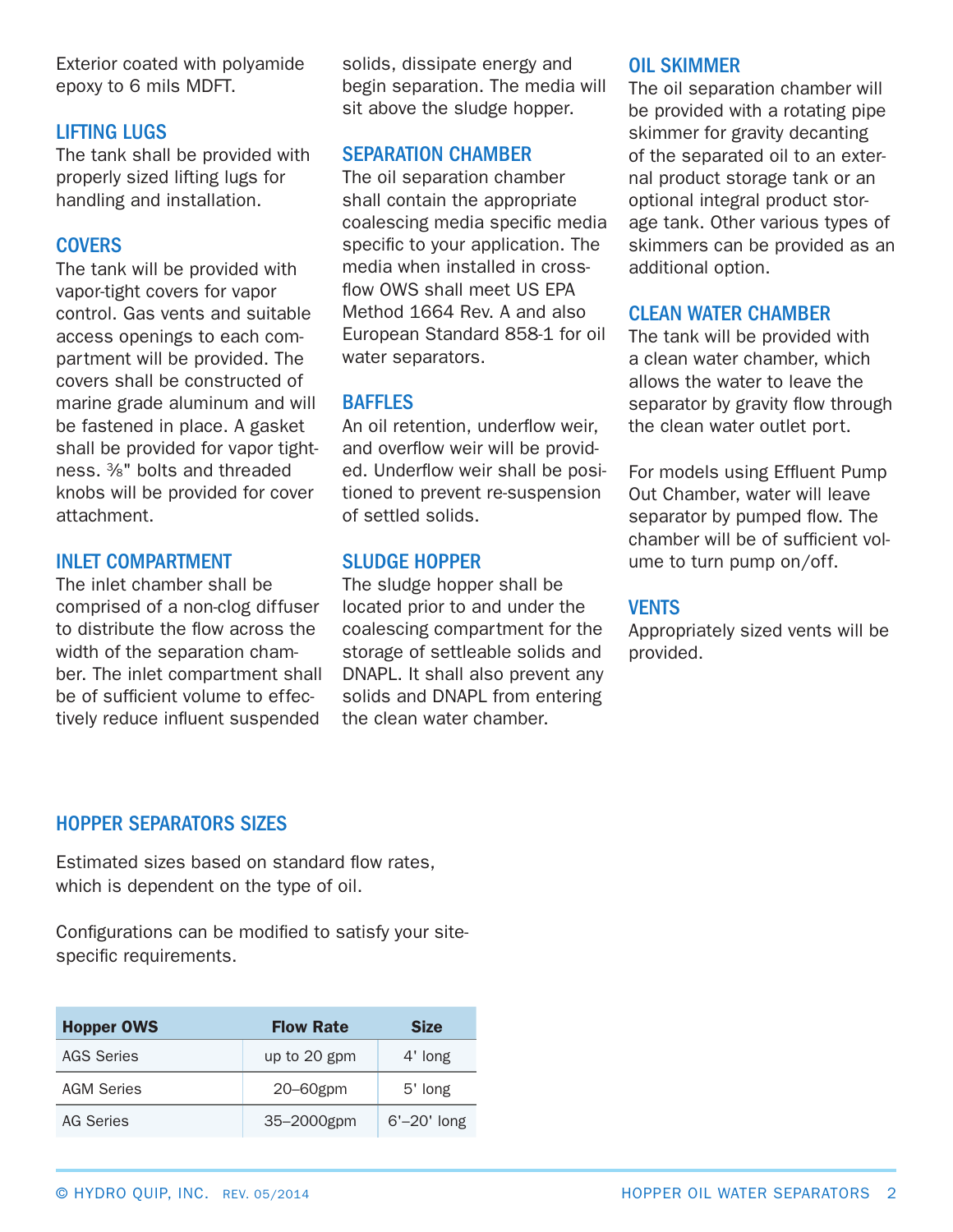Exterior coated with polyamide epoxy to 6 mils MDFT.

## LIFTING LUGS

The tank shall be provided with properly sized lifting lugs for handling and installation.

#### **COVERS**

The tank will be provided with vapor-tight covers for vapor control. Gas vents and suitable access openings to each compartment will be provided. The covers shall be constructed of marine grade aluminum and will be fastened in place. A gasket shall be provided for vapor tightness. 3⁄8" bolts and threaded knobs will be provided for cover attachment.

#### INLET COMPARTMENT

The inlet chamber shall be comprised of a non-clog diffuser to distribute the flow across the width of the separation chamber. The inlet compartment shall be of sufficient volume to effectively reduce influent suspended

solids, dissipate energy and begin separation. The media will sit above the sludge hopper.

### SEPARATION CHAMBER

The oil separation chamber shall contain the appropriate coalescing media specific media specific to your application. The media when installed in crossflow OWS shall meet US EPA Method 1664 Rev. A and also European Standard 858-1 for oil water separators.

## **BAFFLES**

An oil retention, underflow weir, and overflow weir will be provided. Underflow weir shall be positioned to prevent re-suspension of settled solids.

## SLUDGE HOPPER

The sludge hopper shall be located prior to and under the coalescing compartment for the storage of settleable solids and DNAPL. It shall also prevent any solids and DNAPL from entering the clean water chamber.

#### OIL SKIMMER

The oil separation chamber will be provided with a rotating pipe skimmer for gravity decanting of the separated oil to an external product storage tank or an optional integral product storage tank. Other various types of skimmers can be provided as an additional option.

#### CLEAN WATER CHAMBER

The tank will be provided with a clean water chamber, which allows the water to leave the separator by gravity flow through the clean water outlet port.

For models using Effluent Pump Out Chamber, water will leave separator by pumped flow. The chamber will be of sufficient volume to turn pump on/off.

## **VENTS**

Appropriately sized vents will be provided.

## HOPPER SEPARATORS SIZES

Estimated sizes based on standard flow rates, which is dependent on the type of oil.

Configurations can be modified to satisfy your sitespecific requirements.

| <b>Hopper OWS</b> | <b>Flow Rate</b> | <b>Size</b>    |
|-------------------|------------------|----------------|
| <b>AGS Series</b> | up to 20 gpm     | 4' long        |
| <b>AGM Series</b> | $20 - 60$ gpm    | 5' long        |
| AG Series         | 35-2000gpm       | $6'$ –20' long |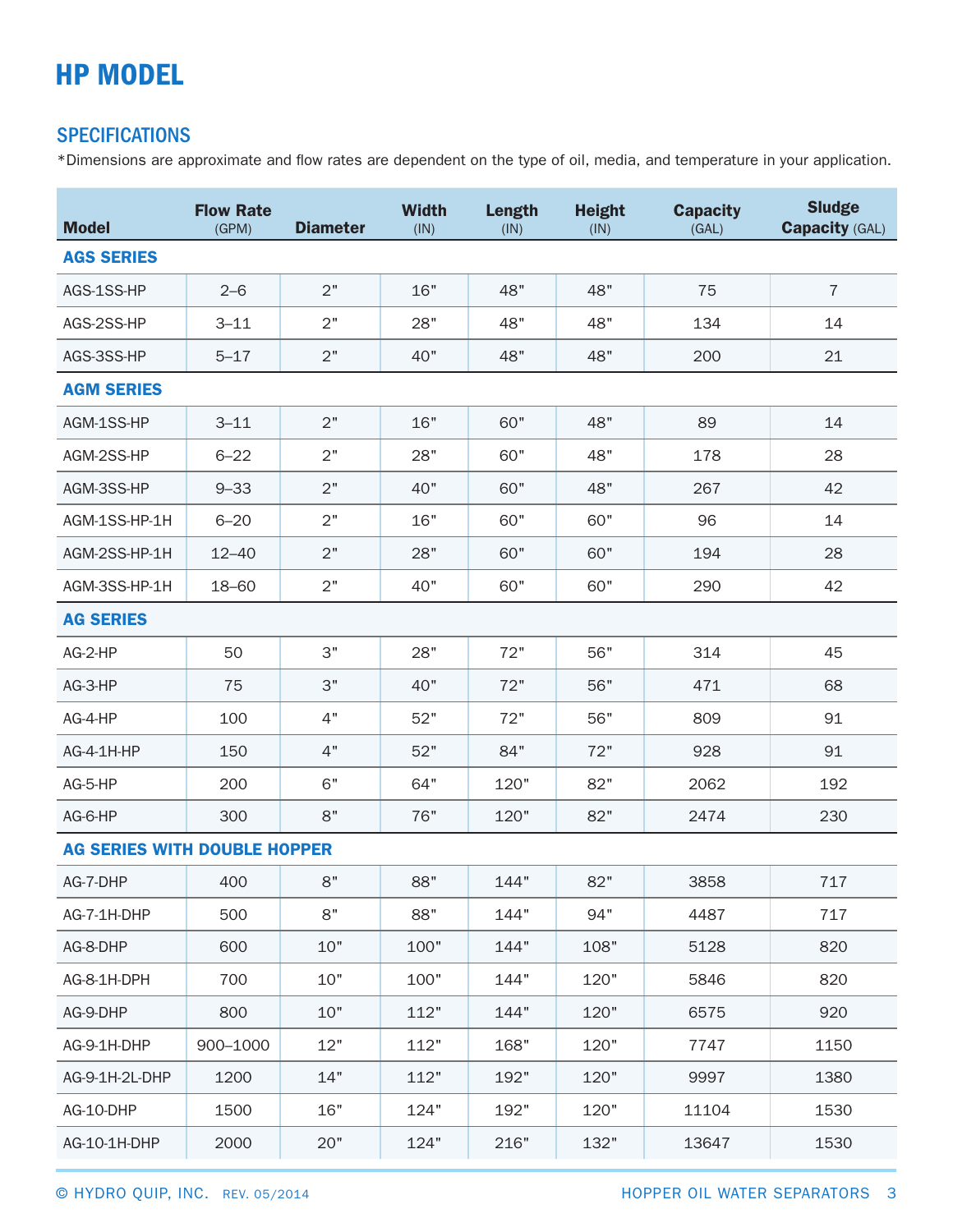## HP MODEL

## **SPECIFICATIONS**

\*Dimensions are approximate and flow rates are dependent on the type of oil, media, and temperature in your application.

| <b>Model</b>                        | <b>Flow Rate</b><br>(GPM) | <b>Diameter</b> | <b>Width</b><br>(IN) | <b>Length</b><br>(IN) | <b>Height</b><br>(IN) | <b>Capacity</b><br>(GAL) | <b>Sludge</b><br><b>Capacity (GAL)</b> |
|-------------------------------------|---------------------------|-----------------|----------------------|-----------------------|-----------------------|--------------------------|----------------------------------------|
| <b>AGS SERIES</b>                   |                           |                 |                      |                       |                       |                          |                                        |
| AGS-1SS-HP                          | $2 - 6$                   | 2"              | 16"                  | 48"                   | 48"                   | 75                       | $\overline{7}$                         |
| AGS-2SS-HP                          | $3 - 11$                  | 2"              | 28"                  | 48"                   | 48"                   | 134                      | 14                                     |
| AGS-3SS-HP                          | $5 - 17$                  | 2"              | 40"                  | 48"                   | 48"                   | 200                      | 21                                     |
| <b>AGM SERIES</b>                   |                           |                 |                      |                       |                       |                          |                                        |
| AGM-1SS-HP                          | $3 - 11$                  | 2"              | 16"                  | 60"                   | 48"                   | 89                       | 14                                     |
| AGM-2SS-HP                          | $6 - 22$                  | 2"              | 28"                  | 60"                   | 48"                   | 178                      | 28                                     |
| AGM-3SS-HP                          | $9 - 33$                  | 2"              | 40"                  | 60"                   | 48"                   | 267                      | 42                                     |
| AGM-1SS-HP-1H                       | $6 - 20$                  | 2"              | 16"                  | 60"                   | 60"                   | 96                       | 14                                     |
| AGM-2SS-HP-1H                       | $12 - 40$                 | 2"              | 28"                  | 60"                   | 60"                   | 194                      | 28                                     |
| AGM-3SS-HP-1H                       | 18-60                     | 2"              | 40"                  | 60"                   | 60"                   | 290                      | 42                                     |
| <b>AG SERIES</b>                    |                           |                 |                      |                       |                       |                          |                                        |
| AG-2-HP                             | 50                        | З"              | 28"                  | 72"                   | 56"                   | 314                      | 45                                     |
| AG-3-HP                             | 75                        | 3"              | 40"                  | 72"                   | 56"                   | 471                      | 68                                     |
| AG-4-HP                             | 100                       | 4"              | 52"                  | 72"                   | 56"                   | 809                      | 91                                     |
| AG-4-1H-HP                          | 150                       | 4"              | 52"                  | 84"                   | 72"                   | 928                      | 91                                     |
| AG-5-HP                             | 200                       | 6"              | 64"                  | 120"                  | 82"                   | 2062                     | 192                                    |
| AG-6-HP                             | 300                       | 8"              | 76"                  | 120"                  | 82"                   | 2474                     | 230                                    |
| <b>AG SERIES WITH DOUBLE HOPPER</b> |                           |                 |                      |                       |                       |                          |                                        |
| AG-7-DHP                            | 400                       | 8"              | 88"                  | 144"                  | 82"                   | 3858                     | 717                                    |
| AG-7-1H-DHP                         | 500                       | 8"              | 88"                  | 144"                  | 94"                   | 4487                     | 717                                    |
| AG-8-DHP                            | 600                       | 10"             | 100"                 | 144"                  | 108"                  | 5128                     | 820                                    |
| AG-8-1H-DPH                         | 700                       | 10"             | 100"                 | 144"                  | 120"                  | 5846                     | 820                                    |
| AG-9-DHP                            | 800                       | 10"             | 112"                 | 144"                  | 120"                  | 6575                     | 920                                    |
| AG-9-1H-DHP                         | 900-1000                  | 12"             | 112"                 | 168"                  | 120"                  | 7747                     | 1150                                   |
| AG-9-1H-2L-DHP                      | 1200                      | 14"             | 112"                 | 192"                  | 120"                  | 9997                     | 1380                                   |
| AG-10-DHP                           | 1500                      | 16"             | 124"                 | 192"                  | 120"                  | 11104                    | 1530                                   |
| AG-10-1H-DHP                        | 2000                      | 20"             | 124"                 | 216"                  | 132"                  | 13647                    | 1530                                   |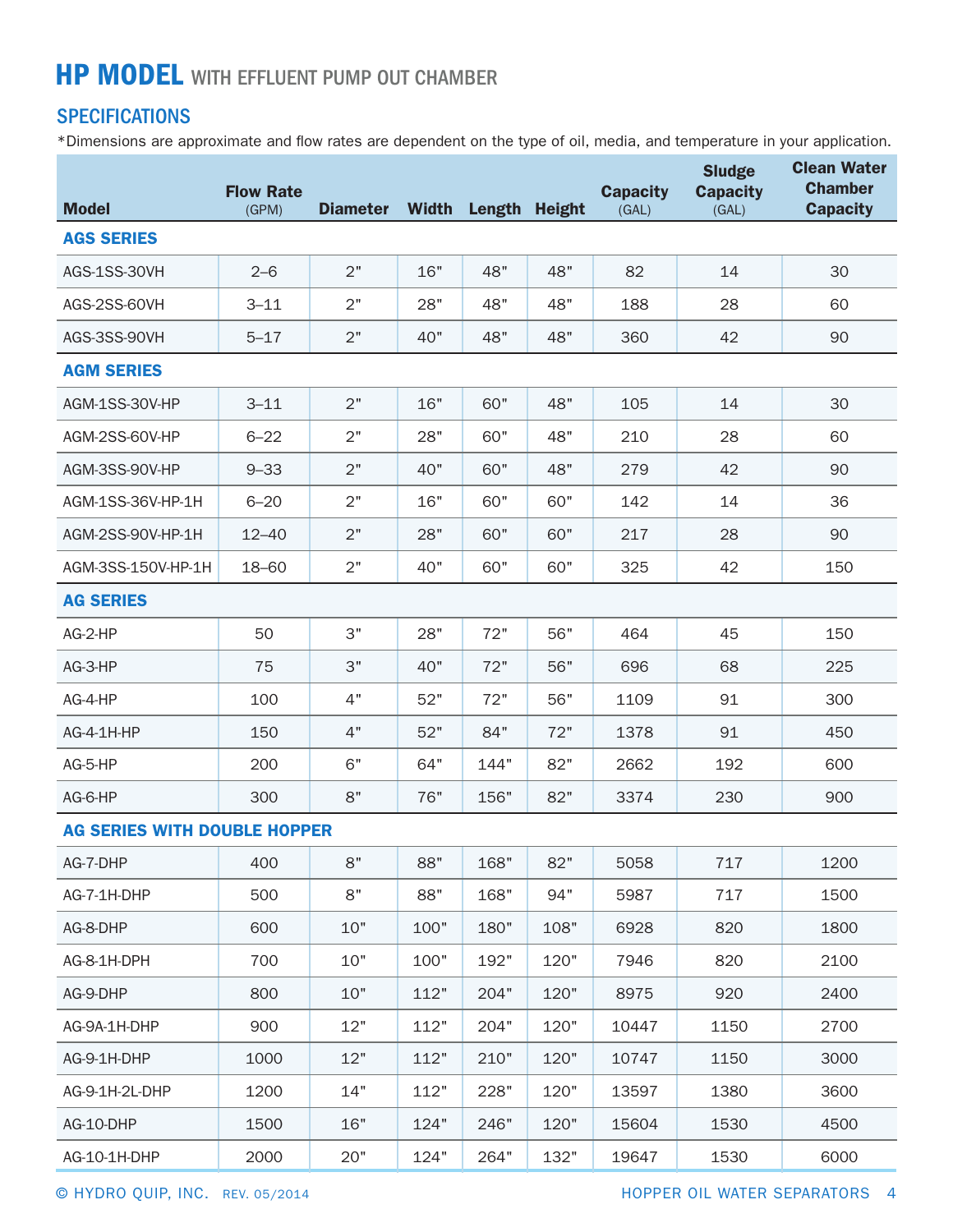## **HP MODEL** WITH EFFLUENT PUMP OUT CHAMBER

## **SPECIFICATIONS**

\*Dimensions are approximate and flow rates are dependent on the type of oil, media, and temperature in your application.

| <b>Model</b>                        | <b>Flow Rate</b><br>(GPM) | <b>Diameter</b> | <b>Width</b> | Length Height |      | <b>Capacity</b><br>(GAL) | <b>Sludge</b><br><b>Capacity</b><br>(GAL) | <b>Clean Water</b><br><b>Chamber</b><br><b>Capacity</b> |
|-------------------------------------|---------------------------|-----------------|--------------|---------------|------|--------------------------|-------------------------------------------|---------------------------------------------------------|
| <b>AGS SERIES</b>                   |                           |                 |              |               |      |                          |                                           |                                                         |
| AGS-1SS-30VH                        | $2 - 6$                   | 2"              | 16"          | 48"           | 48"  | 82                       | 14                                        | 30                                                      |
| AGS-2SS-60VH                        | $3 - 11$                  | 2"              | 28"          | 48"           | 48"  | 188                      | 28                                        | 60                                                      |
| AGS-3SS-90VH                        | $5 - 17$                  | 2"              | 40"          | 48"           | 48"  | 360                      | 42                                        | 90                                                      |
| <b>AGM SERIES</b>                   |                           |                 |              |               |      |                          |                                           |                                                         |
| AGM-1SS-30V-HP                      | $3 - 11$                  | 2"              | 16"          | 60"           | 48"  | 105                      | 14                                        | 30                                                      |
| AGM-2SS-60V-HP                      | $6 - 22$                  | 2"              | 28"          | 60"           | 48"  | 210                      | 28                                        | 60                                                      |
| AGM-3SS-90V-HP                      | $9 - 33$                  | 2"              | 40"          | 60"           | 48"  | 279                      | 42                                        | 90                                                      |
| AGM-1SS-36V-HP-1H                   | $6 - 20$                  | 2"              | 16"          | 60"           | 60"  | 142                      | 14                                        | 36                                                      |
| AGM-2SS-90V-HP-1H                   | $12 - 40$                 | 2"              | 28"          | 60"           | 60"  | 217                      | 28                                        | 90                                                      |
| AGM-3SS-150V-HP-1H                  | 18-60                     | 2"              | 40"          | 60"           | 60"  | 325                      | 42                                        | 150                                                     |
| <b>AG SERIES</b>                    |                           |                 |              |               |      |                          |                                           |                                                         |
| AG-2-HP                             | 50                        | 3"              | 28"          | 72"           | 56"  | 464                      | 45                                        | 150                                                     |
| AG-3-HP                             | 75                        | 3"              | 40"          | 72"           | 56"  | 696                      | 68                                        | 225                                                     |
| AG-4-HP                             | 100                       | 4"              | 52"          | 72"           | 56"  | 1109                     | 91                                        | 300                                                     |
| AG-4-1H-HP                          | 150                       | 4"              | 52"          | 84"           | 72"  | 1378                     | 91                                        | 450                                                     |
| AG-5-HP                             | 200                       | 6"              | 64"          | 144"          | 82"  | 2662                     | 192                                       | 600                                                     |
| AG-6-HP                             | 300                       | 8"              | 76"          | 156"          | 82"  | 3374                     | 230                                       | 900                                                     |
| <b>AG SERIES WITH DOUBLE HOPPER</b> |                           |                 |              |               |      |                          |                                           |                                                         |
| AG-7-DHP                            | 400                       | 8"              | 88"          | 168"          | 82"  | 5058                     | 717                                       | 1200                                                    |
| AG-7-1H-DHP                         | 500                       | 8"              | 88"          | 168"          | 94"  | 5987                     | 717                                       | 1500                                                    |
| AG-8-DHP                            | 600                       | 10"             | 100"         | 180"          | 108" | 6928                     | 820                                       | 1800                                                    |
| AG-8-1H-DPH                         | 700                       | 10"             | 100"         | 192"          | 120" | 7946                     | 820                                       | 2100                                                    |
| AG-9-DHP                            | 800                       | 10"             | 112"         | 204"          | 120" | 8975                     | 920                                       | 2400                                                    |
| AG-9A-1H-DHP                        | 900                       | 12"             | 112"         | 204"          | 120" | 10447                    | 1150                                      | 2700                                                    |
| AG-9-1H-DHP                         | 1000                      | 12"             | 112"         | 210"          | 120" | 10747                    | 1150                                      | 3000                                                    |
| AG-9-1H-2L-DHP                      | 1200                      | 14"             | 112"         | 228"          | 120" | 13597                    | 1380                                      | 3600                                                    |
| AG-10-DHP                           | 1500                      | 16"             | 124"         | 246"          | 120" | 15604                    | 1530                                      | 4500                                                    |
| AG-10-1H-DHP                        | 2000                      | 20"             | 124"         | 264"          | 132" | 19647                    | 1530                                      | 6000                                                    |